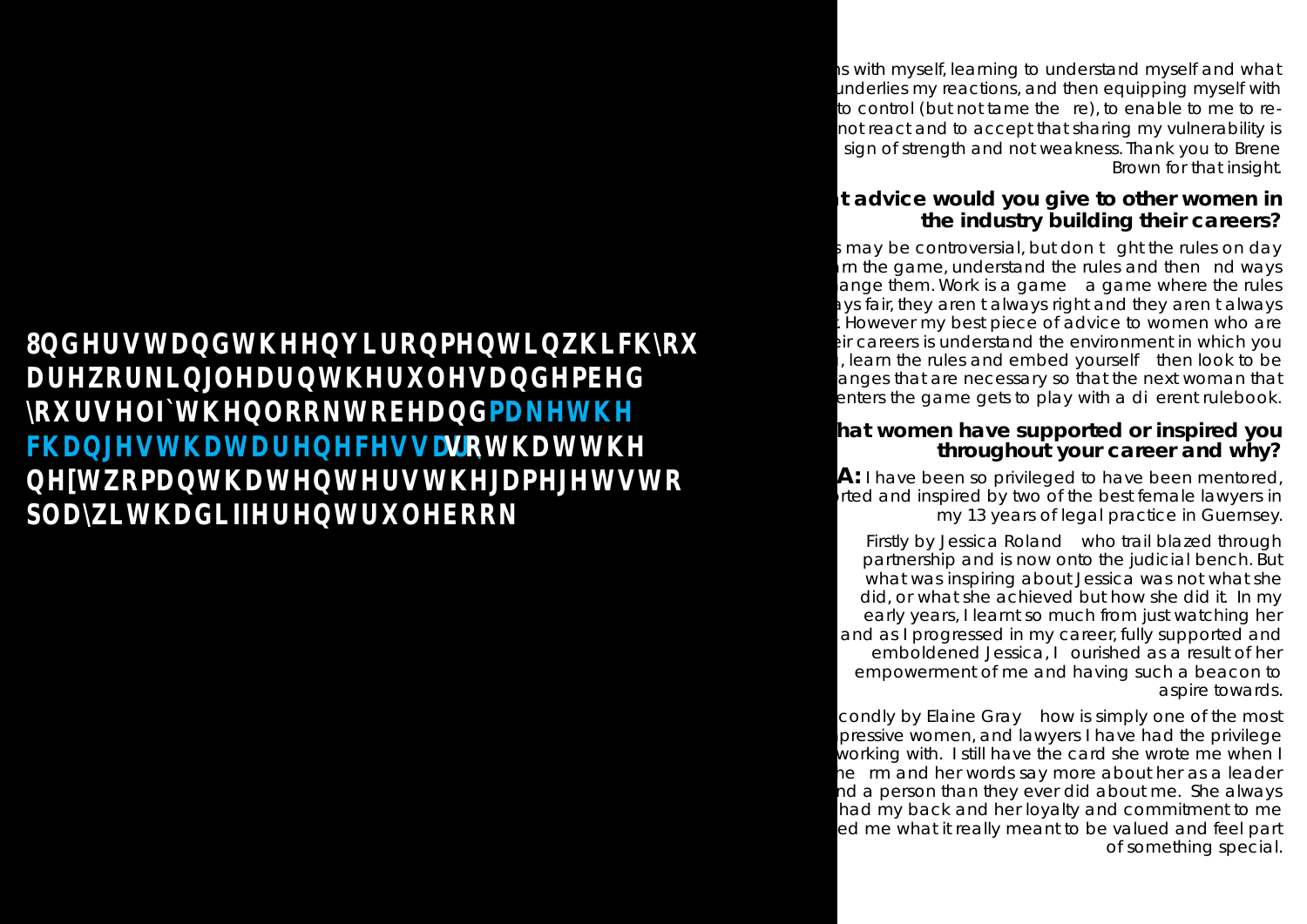## **BHUWDGWKHMRPHWLKFRX** DURNDOHDWKWHVDGHPEHG RWHOIWKORRNWREHDGPDNWK FBAHVWBWDHOFHVVDN VRWBWWK **AWAPDWOWHWHUWKJDPHJHWVWR** SODKWBGLIIHUWWHERRN

is with myself, learning to understand myself and what underlies my reactions, and then equipping myself with to control (but not tame the re), to enable to me to renot react and to accept that sharing my vulnerability is sign of strength and not weakness. Thank you to Brene Brown for that insight.

## **Q:What advice would you give to other women in the industry building their careers?**

i may be controversial, but don t ght the rules on day arn the game, understand the rules and then nd ways ange them. Work is a game  $\alpha$  a game where the rules ays fair, they arent always right and they arent always . However my best piece of advice to women who are but careers is understand the environment in which you  $\mu$ , learn the rules and embed yourself then look to be anges that are necessary so that the next woman that enters the game gets to play with a dierent rulebook.

## hat women have supported or inspired you **throughout your career and why?**

condly by Elaine Gray how is simply one of the most pressive women, and lawyers I have had the privilege working with. I still have the card she wrote me when I he rm and her words say more about her as a leader hd a person than they ever did about me. She always had my back and her loyalty and commitment to me ed me what it really meant to be valued and feel part of something special.

**A:** I have been so privileged to have been mentored, orted and inspired by two of the best female lawyers in my 13 years of legal practice in Guernsey.

Firstly by Jessica Roland who trail blazed through partnership and is now onto the judicial bench. But what was inspiring about Jessica was not what she did, or what she achieved but how she did it. In my early years, I learnt so much from just watching her and as I progressed in my career, fully supported and emboldened Jessica, I ourished as a result of her empowerment of me and having such a beacon to aspire towards.